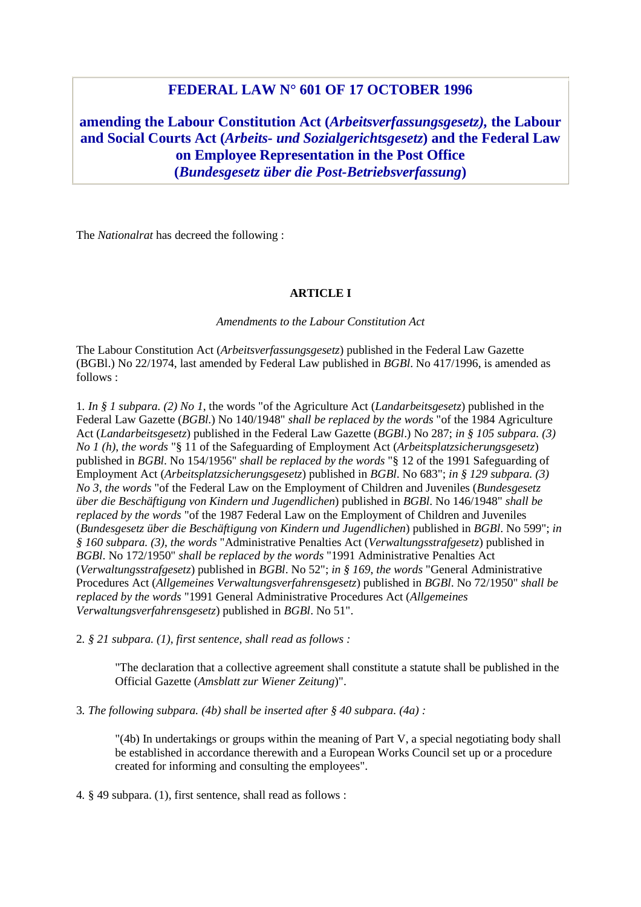# **FEDERAL LAW N° 601 OF 17 OCTOBER 1996**

**amending the Labour Constitution Act (***Arbeitsverfassungsgesetz),* **the Labour and Social Courts Act (***Arbeits- und Sozialgerichtsgesetz***) and the Federal Law on Employee Representation in the Post Office (***Bundesgesetz über die Post-Betriebsverfassung***)**

The *Nationalrat* has decreed the following :

#### **ARTICLE I**

*Amendments to the Labour Constitution Act* 

The Labour Constitution Act (*Arbeitsverfassungsgesetz*) published in the Federal Law Gazette (BGBl.) No 22/1974, last amended by Federal Law published in *BGBl*. No 417/1996, is amended as follows :

1*. In § 1 subpara. (2) No 1*, the words "of the Agriculture Act (*Landarbeitsgesetz*) published in the Federal Law Gazette (*BGBl*.) No 140/1948" *shall be replaced by the words* "of the 1984 Agriculture Act (*Landarbeitsgesetz*) published in the Federal Law Gazette (*BGBl*.) No 287; *in § 105 subpara. (3) No 1 (h)*, *the words* "§ 11 of the Safeguarding of Employment Act (*Arbeitsplatzsicherungsgesetz*) published in *BGBl*. No 154/1956" *shall be replaced by the words* "§ 12 of the 1991 Safeguarding of Employment Act (*Arbeitsplatzsicherungsgesetz*) published in *BGBl*. No 683"; *in § 129 subpara. (3) No 3*, *the words* "of the Federal Law on the Employment of Children and Juveniles (*Bundesgesetz über die Beschäftigung von Kindern und Jugendlichen*) published in *BGBl*. No 146/1948" *shall be replaced by the words* "of the 1987 Federal Law on the Employment of Children and Juveniles (*Bundesgesetz über die Beschäftigung von Kindern und Jugendlichen*) published in *BGBl*. No 599"; *in § 160 subpara. (3)*, *the words* "Administrative Penalties Act (*Verwaltungsstrafgesetz*) published in *BGBl*. No 172/1950" *shall be replaced by the words* "1991 Administrative Penalties Act (*Verwaltungsstrafgesetz*) published in *BGBl*. No 52"; *in § 169*, *the words* "General Administrative Procedures Act (*Allgemeines Verwaltungsverfahrensgesetz*) published in *BGBl*. No 72/1950" *shall be replaced by the words* "1991 General Administrative Procedures Act (*Allgemeines Verwaltungsverfahrensgesetz*) published in *BGBl*. No 51".

2*. § 21 subpara. (1), first sentence, shall read as follows :* 

"The declaration that a collective agreement shall constitute a statute shall be published in the Official Gazette (*Amsblatt zur Wiener Zeitung*)".

3*. The following subpara. (4b) shall be inserted after § 40 subpara. (4a) :* 

"(4b) In undertakings or groups within the meaning of Part V, a special negotiating body shall be established in accordance therewith and a European Works Council set up or a procedure created for informing and consulting the employees".

4*.* § 49 subpara. (1), first sentence, shall read as follows :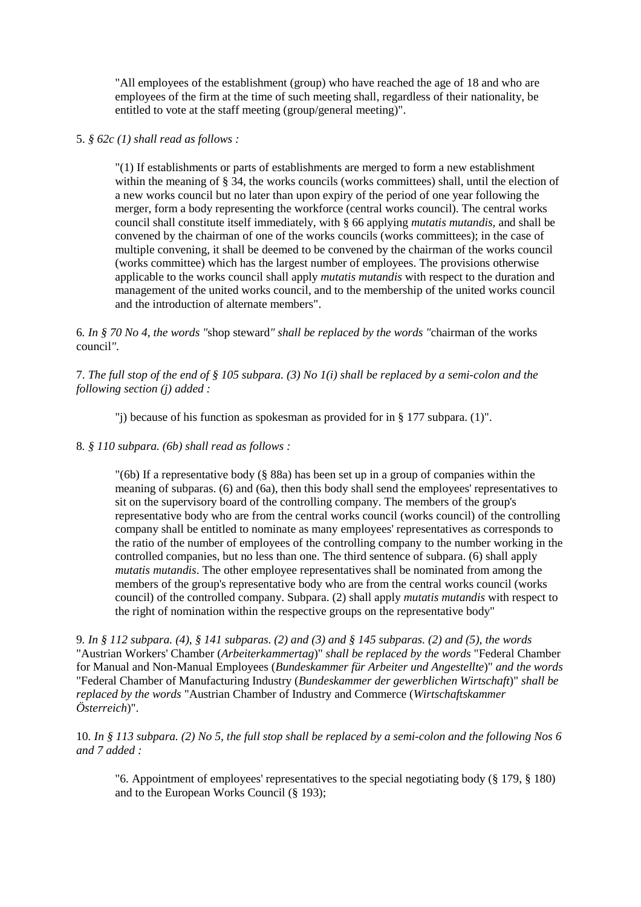"All employees of the establishment (group) who have reached the age of 18 and who are employees of the firm at the time of such meeting shall, regardless of their nationality, be entitled to vote at the staff meeting (group/general meeting)".

## 5. *§ 62c (1) shall read as follows :*

"(1) If establishments or parts of establishments are merged to form a new establishment within the meaning of § 34, the works councils (works committees) shall, until the election of a new works council but no later than upon expiry of the period of one year following the merger, form a body representing the workforce (central works council). The central works council shall constitute itself immediately, with § 66 applying *mutatis mutandis,* and shall be convened by the chairman of one of the works councils (works committees); in the case of multiple convening, it shall be deemed to be convened by the chairman of the works council (works committee) which has the largest number of employees. The provisions otherwise applicable to the works council shall apply *mutatis mutandis* with respect to the duration and management of the united works council, and to the membership of the united works council and the introduction of alternate members".

6*. In § 70 No 4, the words "*shop steward*" shall be replaced by the words "*chairman of the works council*"*.

7. *The full stop of the end of § 105 subpara. (3) No 1(i) shall be replaced by a semi-colon and the following section (j) added :* 

"j) because of his function as spokesman as provided for in § 177 subpara. (1)".

8*. § 110 subpara. (6b) shall read as follows :* 

"(6b) If a representative body (§ 88a) has been set up in a group of companies within the meaning of subparas. (6) and (6a), then this body shall send the employees' representatives to sit on the supervisory board of the controlling company. The members of the group's representative body who are from the central works council (works council) of the controlling company shall be entitled to nominate as many employees' representatives as corresponds to the ratio of the number of employees of the controlling company to the number working in the controlled companies, but no less than one. The third sentence of subpara. (6) shall apply *mutatis mutandis*. The other employee representatives shall be nominated from among the members of the group's representative body who are from the central works council (works council) of the controlled company. Subpara. (2) shall apply *mutatis mutandis* with respect to the right of nomination within the respective groups on the representative body"

9*. In § 112 subpara. (4), § 141 subparas. (2) and (3) and § 145 subparas. (2) and (5)*, *the words* "Austrian Workers' Chamber (*Arbeiterkammertag*)" *shall be replaced by the words* "Federal Chamber for Manual and Non-Manual Employees (*Bundeskammer für Arbeiter und Angestellte*)" *and the words* "Federal Chamber of Manufacturing Industry (*Bundeskammer der gewerblichen Wirtschaft*)" *shall be replaced by the words* "Austrian Chamber of Industry and Commerce (*Wirtschaftskammer Österreich*)".

10*. In § 113 subpara. (2) No 5, the full stop shall be replaced by a semi-colon and the following Nos 6 and 7 added :* 

"6. Appointment of employees' representatives to the special negotiating body (§ 179, § 180) and to the European Works Council (§ 193);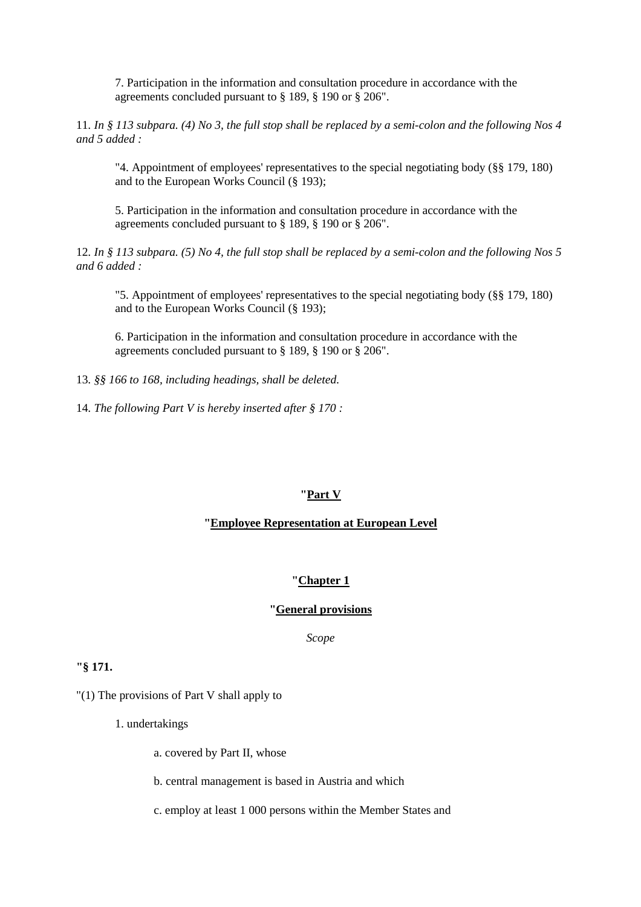7. Participation in the information and consultation procedure in accordance with the agreements concluded pursuant to § 189, § 190 or § 206".

11*. In § 113 subpara. (4) No 3, the full stop shall be replaced by a semi-colon and the following Nos 4 and 5 added :* 

"4. Appointment of employees' representatives to the special negotiating body (§§ 179, 180) and to the European Works Council (§ 193);

5. Participation in the information and consultation procedure in accordance with the agreements concluded pursuant to § 189, § 190 or § 206".

12*. In § 113 subpara. (5) No 4, the full stop shall be replaced by a semi-colon and the following Nos 5 and 6 added :* 

"5. Appointment of employees' representatives to the special negotiating body (§§ 179, 180) and to the European Works Council (§ 193);

6. Participation in the information and consultation procedure in accordance with the agreements concluded pursuant to § 189, § 190 or § 206".

13*. §§ 166 to 168, including headings, shall be deleted*.

14*. The following Part V is hereby inserted after § 170 :* 

#### **"Part V**

### **"Employee Representation at European Level**

#### **"Chapter 1**

#### **"General provisions**

*Scope* 

### **"§ 171.**

"(1) The provisions of Part V shall apply to

1. undertakings

a. covered by Part II, whose

b. central management is based in Austria and which

c. employ at least 1 000 persons within the Member States and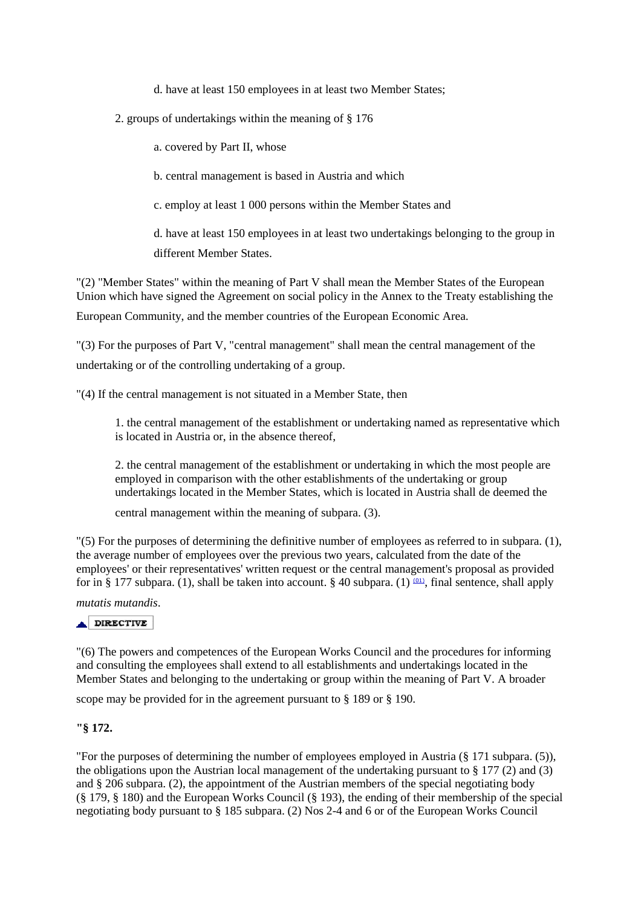d. have at least 150 employees in at least two Member States;

2. groups of undertakings within the meaning of § 176

a. covered by Part II, whose

b. central management is based in Austria and which

c. employ at least 1 000 persons within the Member States and

d. have at least 150 employees in at least two undertakings belonging to the group in different Member States.

"(2) "Member States" within the meaning of Part V shall mean the Member States of the European Union which have signed the Agreement on social policy in the Annex to the Treaty establishing the

European Community, and the member countries of the European Economic Area.

"(3) For the purposes of Part V, "central management" shall mean the central management of the undertaking or of the controlling undertaking of a group.

"(4) If the central management is not situated in a Member State, then

1. the central management of the establishment or undertaking named as representative which is located in Austria or, in the absence thereof,

2. the central management of the establishment or undertaking in which the most people are employed in comparison with the other establishments of the undertaking or group undertakings located in the Member States, which is located in Austria shall de deemed the

central management within the meaning of subpara. (3).

"(5) For the purposes of determining the definitive number of employees as referred to in subpara. (1), the average number of employees over the previous two years, calculated from the date of the employees' or their representatives' written request or the central management's proposal as provided for in § 177 subpara. (1), shall be taken into account. § 40 subpara. (1)  $(01)$ , final sentence, shall apply

*mutatis mutandis*.

### $\triangle$  DIRECTIVE

"(6) The powers and competences of the European Works Council and the procedures for informing and consulting the employees shall extend to all establishments and undertakings located in the Member States and belonging to the undertaking or group within the meaning of Part V. A broader

scope may be provided for in the agreement pursuant to § 189 or § 190.

# **"§ 172.**

"For the purposes of determining the number of employees employed in Austria (§ 171 subpara. (5)), the obligations upon the Austrian local management of the undertaking pursuant to  $\S 177 (2)$  and (3) and § 206 subpara. (2), the appointment of the Austrian members of the special negotiating body (§ 179, § 180) and the European Works Council (§ 193), the ending of their membership of the special negotiating body pursuant to § 185 subpara. (2) Nos 2-4 and 6 or of the European Works Council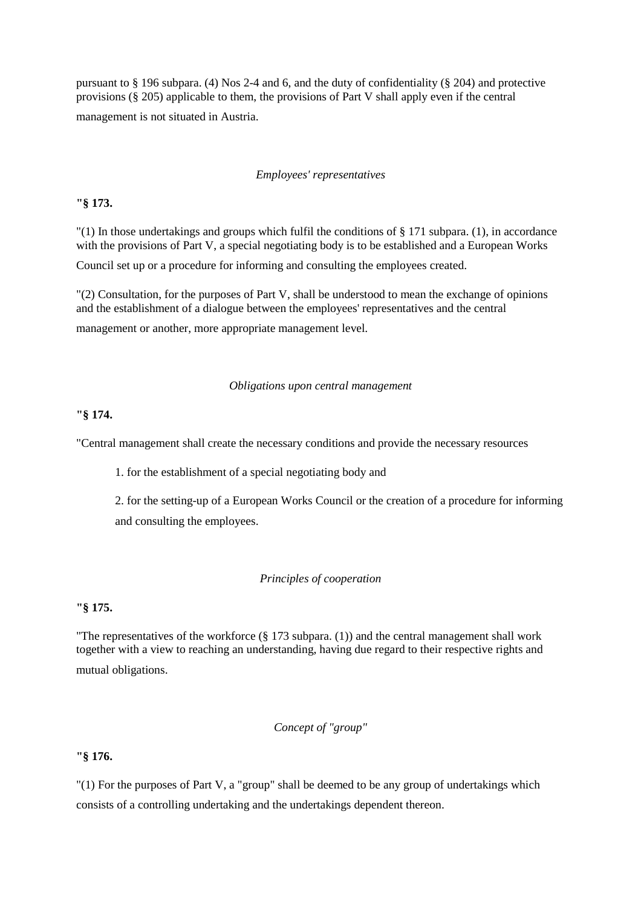pursuant to § 196 subpara. (4) Nos 2-4 and 6, and the duty of confidentiality (§ 204) and protective provisions (§ 205) applicable to them, the provisions of Part V shall apply even if the central management is not situated in Austria.

#### *Employees' representatives*

### **"§ 173.**

 $'(1)$  In those undertakings and groups which fulfil the conditions of § 171 subpara. (1), in accordance with the provisions of Part V, a special negotiating body is to be established and a European Works

Council set up or a procedure for informing and consulting the employees created.

"(2) Consultation, for the purposes of Part V, shall be understood to mean the exchange of opinions and the establishment of a dialogue between the employees' representatives and the central management or another, more appropriate management level.

#### *Obligations upon central management*

#### **"§ 174.**

"Central management shall create the necessary conditions and provide the necessary resources

1. for the establishment of a special negotiating body and

2. for the setting-up of a European Works Council or the creation of a procedure for informing and consulting the employees.

### *Principles of cooperation*

### **"§ 175.**

"The representatives of the workforce (§ 173 subpara. (1)) and the central management shall work together with a view to reaching an understanding, having due regard to their respective rights and mutual obligations.

# *Concept of "group"*

### **"§ 176.**

"(1) For the purposes of Part V, a "group" shall be deemed to be any group of undertakings which consists of a controlling undertaking and the undertakings dependent thereon.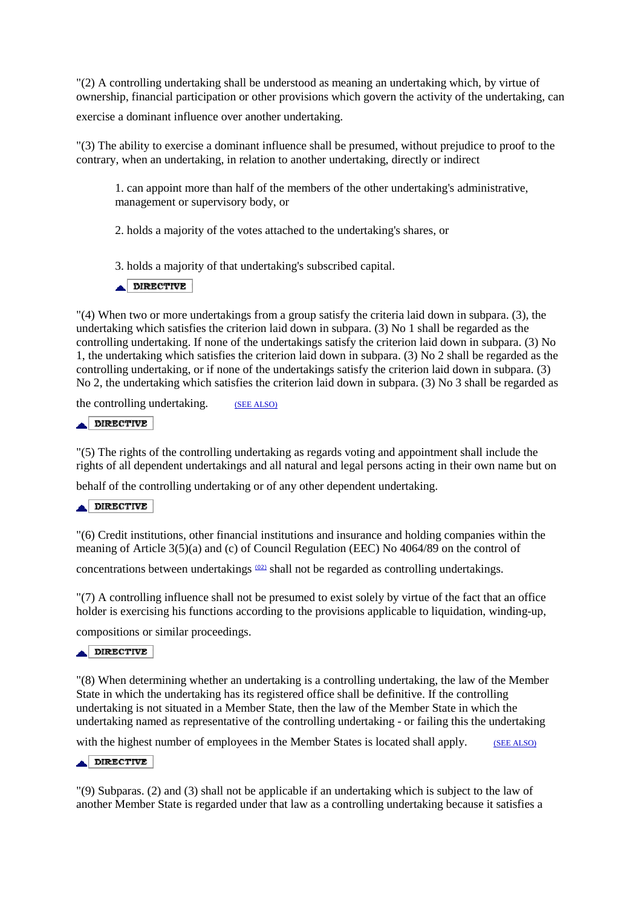"(2) A controlling undertaking shall be understood as meaning an undertaking which, by virtue of ownership, financial participation or other provisions which govern the activity of the undertaking, can

exercise a dominant influence over another undertaking.

"(3) The ability to exercise a dominant influence shall be presumed, without prejudice to proof to the contrary, when an undertaking, in relation to another undertaking, directly or indirect

1. can appoint more than half of the members of the other undertaking's administrative, management or supervisory body, or

2. holds a majority of the votes attached to the undertaking's shares, or

3. holds a majority of that undertaking's subscribed capital.

### $\triangle$  DIRECTIVE

"(4) When two or more undertakings from a group satisfy the criteria laid down in subpara. (3), the undertaking which satisfies the criterion laid down in subpara. (3) No 1 shall be regarded as the controlling undertaking. If none of the undertakings satisfy the criterion laid down in subpara. (3) No 1, the undertaking which satisfies the criterion laid down in subpara. (3) No 2 shall be regarded as the controlling undertaking, or if none of the undertakings satisfy the criterion laid down in subpara. (3) No 2, the undertaking which satisfies the criterion laid down in subpara. (3) No 3 shall be regarded as

the controlling undertaking. (SEE ALSO)

#### DIRECTIVE

"(5) The rights of the controlling undertaking as regards voting and appointment shall include the rights of all dependent undertakings and all natural and legal persons acting in their own name but on

behalf of the controlling undertaking or of any other dependent undertaking.

## **ADIRECTIVE**

"(6) Credit institutions, other financial institutions and insurance and holding companies within the meaning of Article 3(5)(a) and (c) of Council Regulation (EEC) No 4064/89 on the control of

concentrations between undertakings  $(02)$  shall not be regarded as controlling undertakings.

"(7) A controlling influence shall not be presumed to exist solely by virtue of the fact that an office holder is exercising his functions according to the provisions applicable to liquidation, winding-up,

compositions or similar proceedings.

#### $\triangle$  DIRECTIVE

"(8) When determining whether an undertaking is a controlling undertaking, the law of the Member State in which the undertaking has its registered office shall be definitive. If the controlling undertaking is not situated in a Member State, then the law of the Member State in which the undertaking named as representative of the controlling undertaking - or failing this the undertaking

with the highest number of employees in the Member States is located shall apply. (SEE ALSO)

#### DIRECTIVE

"(9) Subparas. (2) and (3) shall not be applicable if an undertaking which is subject to the law of another Member State is regarded under that law as a controlling undertaking because it satisfies a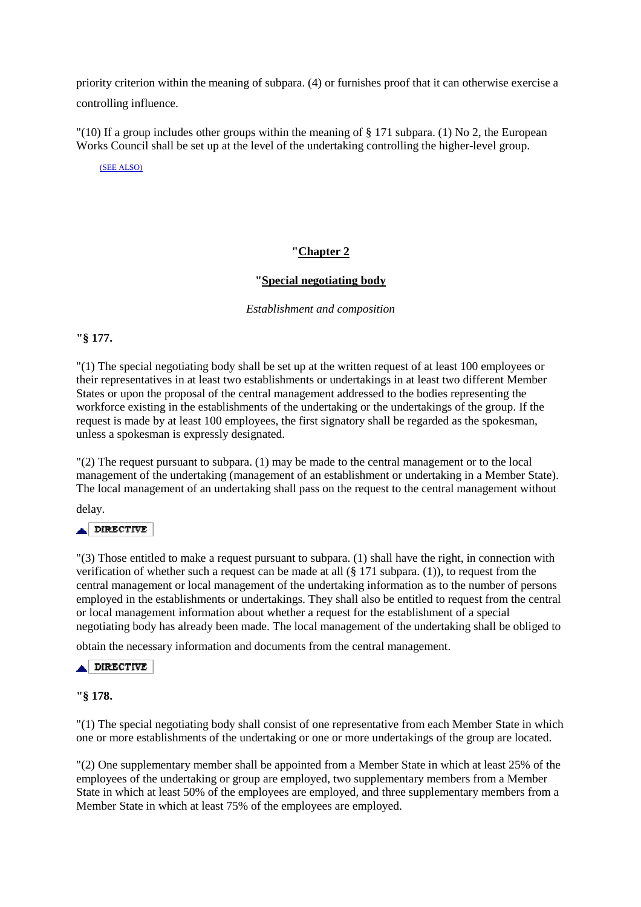priority criterion within the meaning of subpara. (4) or furnishes proof that it can otherwise exercise a controlling influence.

 $\Gamma(10)$  If a group includes other groups within the meaning of § 171 subpara. (1) No 2, the European Works Council shall be set up at the level of the undertaking controlling the higher-level group.

(SEE ALSO)

# **"Chapter 2**

# **"Special negotiating body**

*Establishment and composition* 

**"§ 177.**

"(1) The special negotiating body shall be set up at the written request of at least 100 employees or their representatives in at least two establishments or undertakings in at least two different Member States or upon the proposal of the central management addressed to the bodies representing the workforce existing in the establishments of the undertaking or the undertakings of the group. If the request is made by at least 100 employees, the first signatory shall be regarded as the spokesman, unless a spokesman is expressly designated.

"(2) The request pursuant to subpara. (1) may be made to the central management or to the local management of the undertaking (management of an establishment or undertaking in a Member State). The local management of an undertaking shall pass on the request to the central management without

delay.

### DIRECTIVE

"(3) Those entitled to make a request pursuant to subpara. (1) shall have the right, in connection with verification of whether such a request can be made at all (§ 171 subpara. (1)), to request from the central management or local management of the undertaking information as to the number of persons employed in the establishments or undertakings. They shall also be entitled to request from the central or local management information about whether a request for the establishment of a special negotiating body has already been made. The local management of the undertaking shall be obliged to

obtain the necessary information and documents from the central management.

### **ADIRECTIVE**

### **"§ 178.**

"(1) The special negotiating body shall consist of one representative from each Member State in which one or more establishments of the undertaking or one or more undertakings of the group are located.

"(2) One supplementary member shall be appointed from a Member State in which at least 25% of the employees of the undertaking or group are employed, two supplementary members from a Member State in which at least 50% of the employees are employed, and three supplementary members from a Member State in which at least 75% of the employees are employed.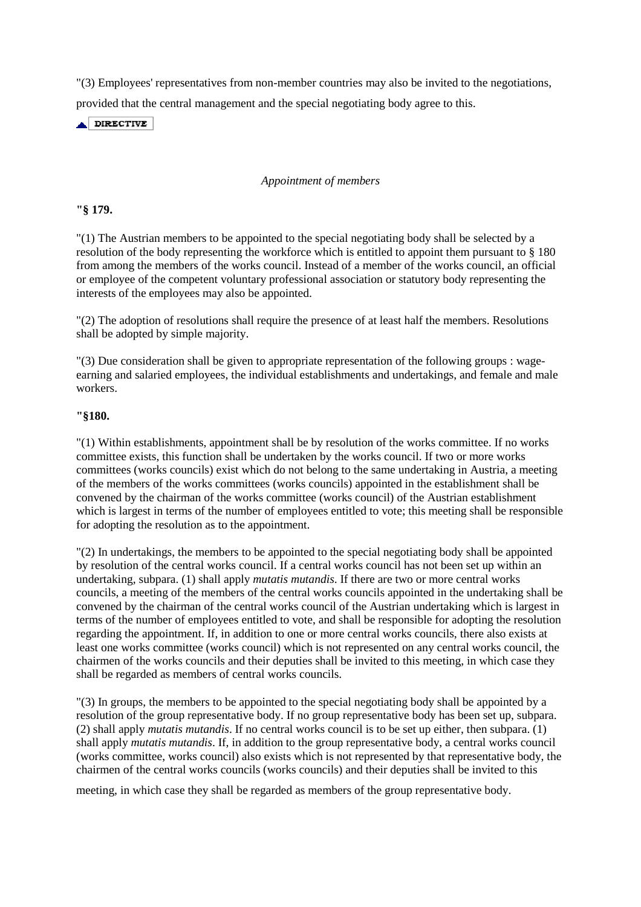"(3) Employees' representatives from non-member countries may also be invited to the negotiations, provided that the central management and the special negotiating body agree to this.

 $\triangle$  DIRECTIVE

## *Appointment of members*

# **"§ 179.**

"(1) The Austrian members to be appointed to the special negotiating body shall be selected by a resolution of the body representing the workforce which is entitled to appoint them pursuant to § 180 from among the members of the works council. Instead of a member of the works council, an official or employee of the competent voluntary professional association or statutory body representing the interests of the employees may also be appointed.

"(2) The adoption of resolutions shall require the presence of at least half the members. Resolutions shall be adopted by simple majority.

"(3) Due consideration shall be given to appropriate representation of the following groups : wageearning and salaried employees, the individual establishments and undertakings, and female and male workers.

# **"§180.**

"(1) Within establishments, appointment shall be by resolution of the works committee. If no works committee exists, this function shall be undertaken by the works council. If two or more works committees (works councils) exist which do not belong to the same undertaking in Austria, a meeting of the members of the works committees (works councils) appointed in the establishment shall be convened by the chairman of the works committee (works council) of the Austrian establishment which is largest in terms of the number of employees entitled to vote; this meeting shall be responsible for adopting the resolution as to the appointment.

"(2) In undertakings, the members to be appointed to the special negotiating body shall be appointed by resolution of the central works council. If a central works council has not been set up within an undertaking, subpara. (1) shall apply *mutatis mutandis*. If there are two or more central works councils, a meeting of the members of the central works councils appointed in the undertaking shall be convened by the chairman of the central works council of the Austrian undertaking which is largest in terms of the number of employees entitled to vote, and shall be responsible for adopting the resolution regarding the appointment. If, in addition to one or more central works councils, there also exists at least one works committee (works council) which is not represented on any central works council, the chairmen of the works councils and their deputies shall be invited to this meeting, in which case they shall be regarded as members of central works councils.

"(3) In groups, the members to be appointed to the special negotiating body shall be appointed by a resolution of the group representative body. If no group representative body has been set up, subpara. (2) shall apply *mutatis mutandis*. If no central works council is to be set up either, then subpara. (1) shall apply *mutatis mutandis*. If, in addition to the group representative body, a central works council (works committee, works council) also exists which is not represented by that representative body, the chairmen of the central works councils (works councils) and their deputies shall be invited to this

meeting, in which case they shall be regarded as members of the group representative body.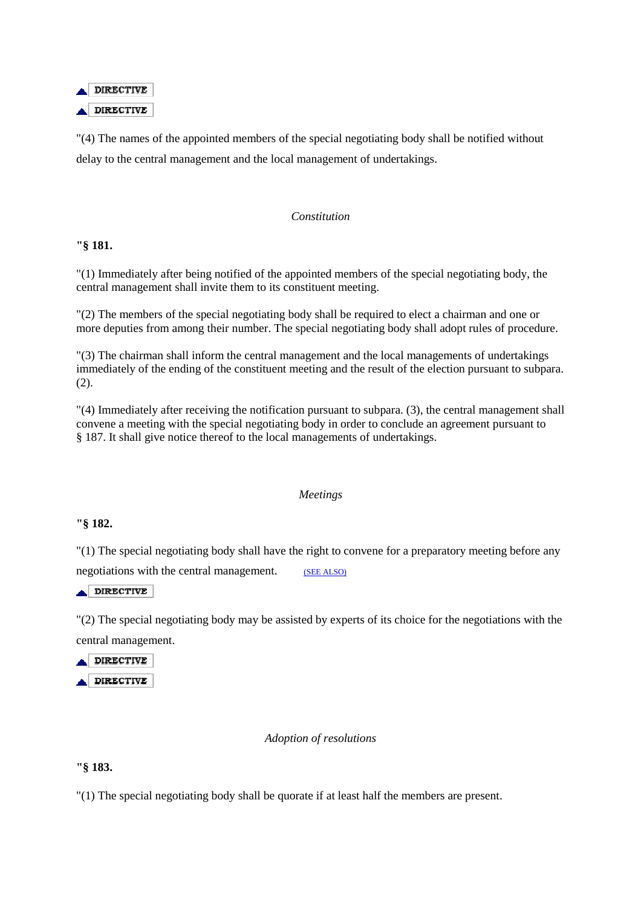

"(4) The names of the appointed members of the special negotiating body shall be notified without delay to the central management and the local management of undertakings.

### *Constitution*

**"§ 181.** 

"(1) Immediately after being notified of the appointed members of the special negotiating body, the central management shall invite them to its constituent meeting.

"(2) The members of the special negotiating body shall be required to elect a chairman and one or more deputies from among their number. The special negotiating body shall adopt rules of procedure.

"(3) The chairman shall inform the central management and the local managements of undertakings immediately of the ending of the constituent meeting and the result of the election pursuant to subpara. (2).

"(4) Immediately after receiving the notification pursuant to subpara. (3), the central management shall convene a meeting with the special negotiating body in order to conclude an agreement pursuant to § 187. It shall give notice thereof to the local managements of undertakings.

### *Meetings*

### **"§ 182.**

"(1) The special negotiating body shall have the right to convene for a preparatory meeting before any negotiations with the central management. (SEE ALSO)

DIRECTIVE

"(2) The special negotiating body may be assisted by experts of its choice for the negotiations with the central management.

DIRECTIVE  $\triangle$  DIRECTIVE

### *Adoption of resolutions*

### **"§ 183.**

"(1) The special negotiating body shall be quorate if at least half the members are present.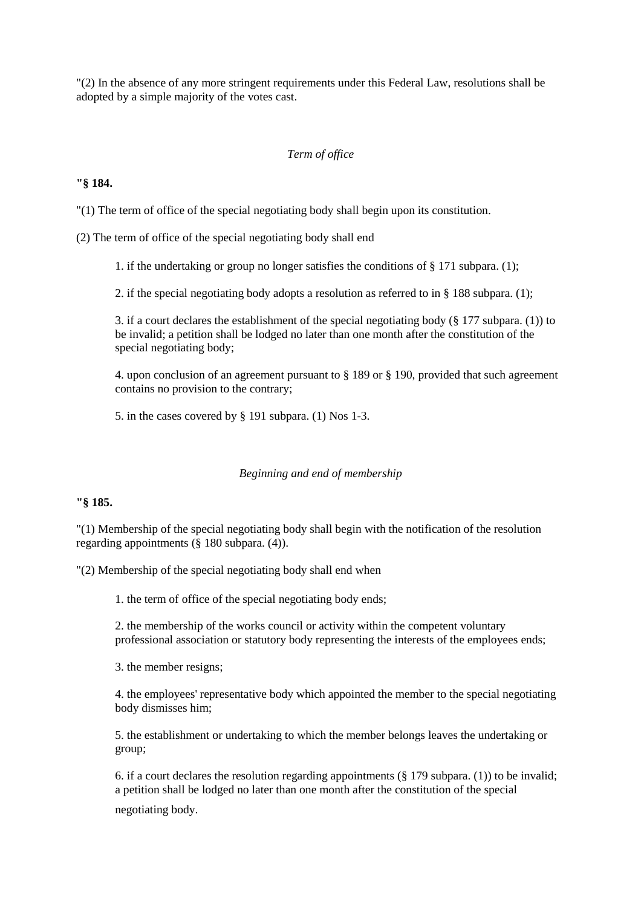"(2) In the absence of any more stringent requirements under this Federal Law, resolutions shall be adopted by a simple majority of the votes cast.

## *Term of office*

## **"§ 184.**

"(1) The term of office of the special negotiating body shall begin upon its constitution.

(2) The term of office of the special negotiating body shall end

1. if the undertaking or group no longer satisfies the conditions of § 171 subpara. (1);

2. if the special negotiating body adopts a resolution as referred to in § 188 subpara. (1);

3. if a court declares the establishment of the special negotiating body (§ 177 subpara. (1)) to be invalid; a petition shall be lodged no later than one month after the constitution of the special negotiating body;

4. upon conclusion of an agreement pursuant to § 189 or § 190, provided that such agreement contains no provision to the contrary;

5. in the cases covered by § 191 subpara. (1) Nos 1-3.

### *Beginning and end of membership*

# **"§ 185.**

"(1) Membership of the special negotiating body shall begin with the notification of the resolution regarding appointments (§ 180 subpara. (4)).

"(2) Membership of the special negotiating body shall end when

1. the term of office of the special negotiating body ends;

2. the membership of the works council or activity within the competent voluntary professional association or statutory body representing the interests of the employees ends;

3. the member resigns;

4. the employees' representative body which appointed the member to the special negotiating body dismisses him;

5. the establishment or undertaking to which the member belongs leaves the undertaking or group;

6. if a court declares the resolution regarding appointments (§ 179 subpara. (1)) to be invalid; a petition shall be lodged no later than one month after the constitution of the special

negotiating body.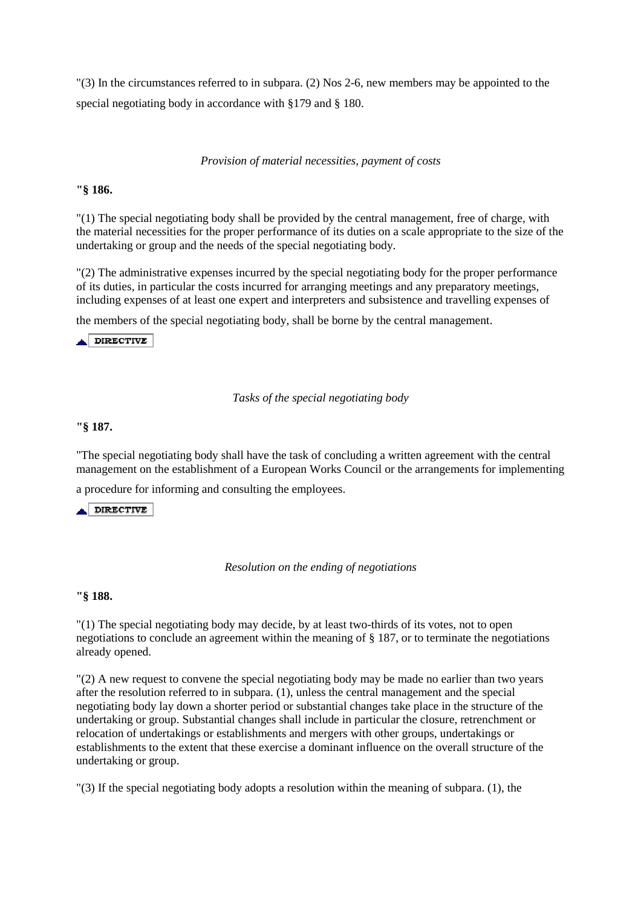"(3) In the circumstances referred to in subpara. (2) Nos 2-6, new members may be appointed to the special negotiating body in accordance with §179 and § 180.

#### *Provision of material necessities, payment of costs*

## **"§ 186.**

"(1) The special negotiating body shall be provided by the central management, free of charge, with the material necessities for the proper performance of its duties on a scale appropriate to the size of the undertaking or group and the needs of the special negotiating body.

"(2) The administrative expenses incurred by the special negotiating body for the proper performance of its duties, in particular the costs incurred for arranging meetings and any preparatory meetings, including expenses of at least one expert and interpreters and subsistence and travelling expenses of

the members of the special negotiating body, shall be borne by the central management.

 $\triangle$ DIRECTIVE

### *Tasks of the special negotiating body*

#### **"§ 187.**

"The special negotiating body shall have the task of concluding a written agreement with the central management on the establishment of a European Works Council or the arrangements for implementing

a procedure for informing and consulting the employees.

 $\triangle$ DIRECTIVE

#### *Resolution on the ending of negotiations*

#### **"§ 188.**

"(1) The special negotiating body may decide, by at least two-thirds of its votes, not to open negotiations to conclude an agreement within the meaning of § 187, or to terminate the negotiations already opened.

"(2) A new request to convene the special negotiating body may be made no earlier than two years after the resolution referred to in subpara. (1), unless the central management and the special negotiating body lay down a shorter period or substantial changes take place in the structure of the undertaking or group. Substantial changes shall include in particular the closure, retrenchment or relocation of undertakings or establishments and mergers with other groups, undertakings or establishments to the extent that these exercise a dominant influence on the overall structure of the undertaking or group.

"(3) If the special negotiating body adopts a resolution within the meaning of subpara. (1), the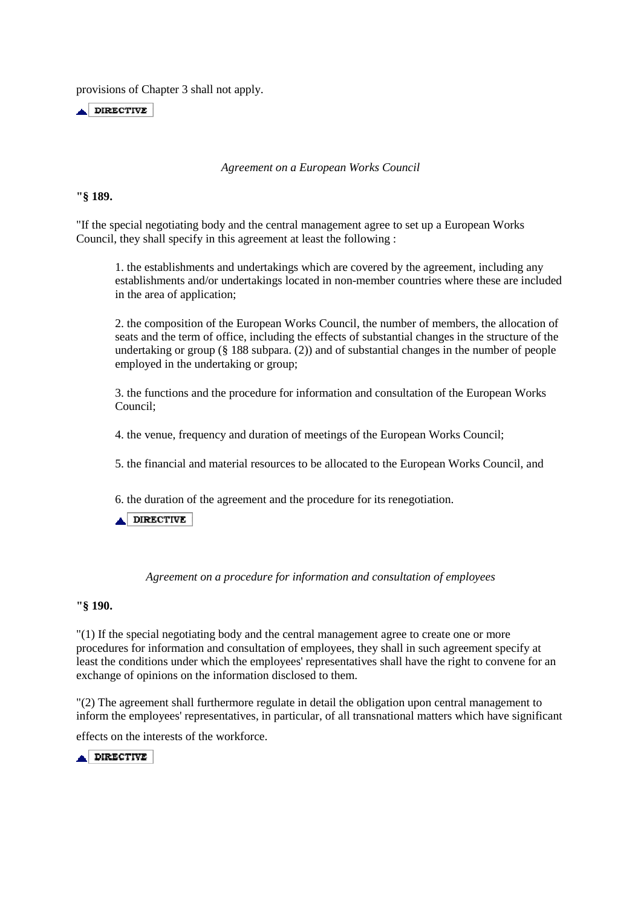provisions of Chapter 3 shall not apply.

 $\triangle$  DIRECTIVE

#### *Agreement on a European Works Council*

#### **"§ 189.**

"If the special negotiating body and the central management agree to set up a European Works Council, they shall specify in this agreement at least the following :

1. the establishments and undertakings which are covered by the agreement, including any establishments and/or undertakings located in non-member countries where these are included in the area of application;

2. the composition of the European Works Council, the number of members, the allocation of seats and the term of office, including the effects of substantial changes in the structure of the undertaking or group (§ 188 subpara. (2)) and of substantial changes in the number of people employed in the undertaking or group;

3. the functions and the procedure for information and consultation of the European Works Council;

4. the venue, frequency and duration of meetings of the European Works Council;

5. the financial and material resources to be allocated to the European Works Council, and

6. the duration of the agreement and the procedure for its renegotiation.

**ADIRECTIVE** 

*Agreement on a procedure for information and consultation of employees* 

### **"§ 190.**

"(1) If the special negotiating body and the central management agree to create one or more procedures for information and consultation of employees, they shall in such agreement specify at least the conditions under which the employees' representatives shall have the right to convene for an exchange of opinions on the information disclosed to them.

"(2) The agreement shall furthermore regulate in detail the obligation upon central management to inform the employees' representatives, in particular, of all transnational matters which have significant

effects on the interests of the workforce.

DIRECTIVE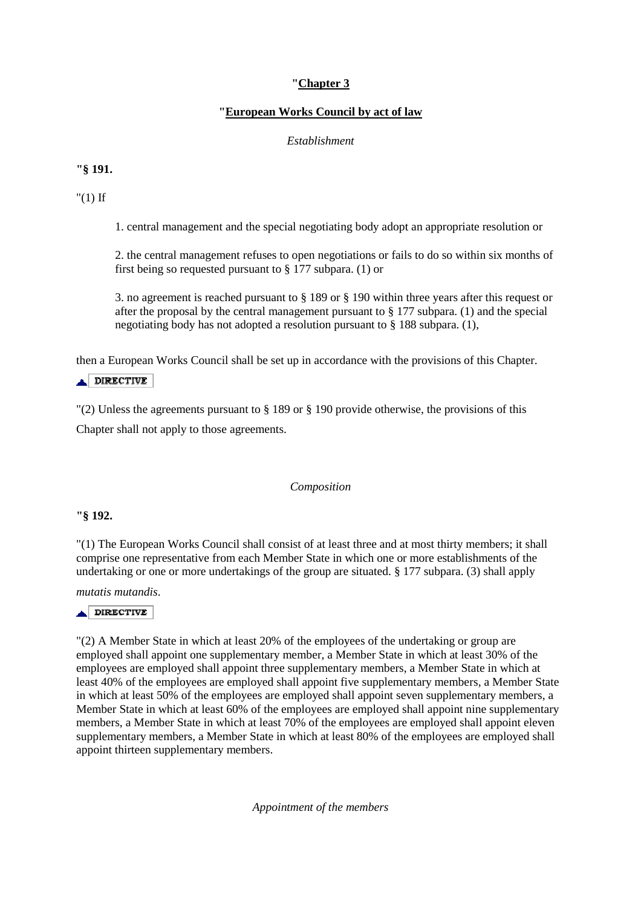# **"Chapter 3**

# **"European Works Council by act of law**

# *Establishment*

# **"§ 191.**

"(1) If

1. central management and the special negotiating body adopt an appropriate resolution or

2. the central management refuses to open negotiations or fails to do so within six months of first being so requested pursuant to § 177 subpara. (1) or

3. no agreement is reached pursuant to § 189 or § 190 within three years after this request or after the proposal by the central management pursuant to  $\S 177$  subpara. (1) and the special negotiating body has not adopted a resolution pursuant to § 188 subpara. (1),

then a European Works Council shall be set up in accordance with the provisions of this Chapter.

# $\triangle$  DIRECTIVE

"(2) Unless the agreements pursuant to § 189 or § 190 provide otherwise, the provisions of this Chapter shall not apply to those agreements.

# *Composition*

# **"§ 192.**

"(1) The European Works Council shall consist of at least three and at most thirty members; it shall comprise one representative from each Member State in which one or more establishments of the undertaking or one or more undertakings of the group are situated. § 177 subpara. (3) shall apply

*mutatis mutandis*.

# $\triangle$ DIRECTIVE

"(2) A Member State in which at least 20% of the employees of the undertaking or group are employed shall appoint one supplementary member, a Member State in which at least 30% of the employees are employed shall appoint three supplementary members, a Member State in which at least 40% of the employees are employed shall appoint five supplementary members, a Member State in which at least 50% of the employees are employed shall appoint seven supplementary members, a Member State in which at least 60% of the employees are employed shall appoint nine supplementary members, a Member State in which at least 70% of the employees are employed shall appoint eleven supplementary members, a Member State in which at least 80% of the employees are employed shall appoint thirteen supplementary members.

*Appointment of the members*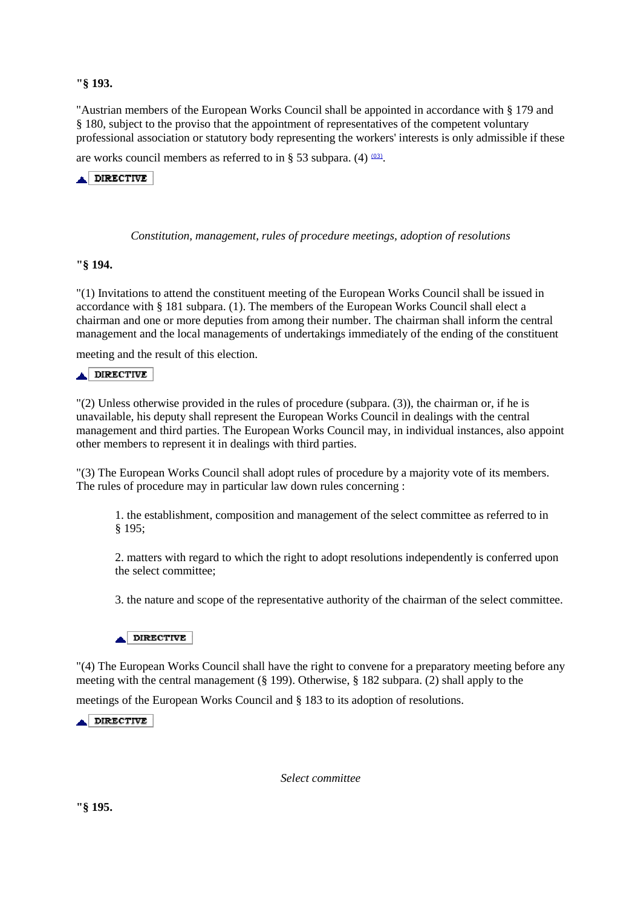# **"§ 193.**

"Austrian members of the European Works Council shall be appointed in accordance with § 179 and § 180, subject to the proviso that the appointment of representatives of the competent voluntary professional association or statutory body representing the workers' interests is only admissible if these

are works council members as referred to in § 53 subpara. (4)  $(03)$ .

A DIRECTIVE

*Constitution, management, rules of procedure meetings, adoption of resolutions* 

#### **"§ 194.**

"(1) Invitations to attend the constituent meeting of the European Works Council shall be issued in accordance with § 181 subpara. (1). The members of the European Works Council shall elect a chairman and one or more deputies from among their number. The chairman shall inform the central management and the local managements of undertakings immediately of the ending of the constituent

meeting and the result of this election.

### **A DIRECTIVE**

"(2) Unless otherwise provided in the rules of procedure (subpara. (3)), the chairman or, if he is unavailable, his deputy shall represent the European Works Council in dealings with the central management and third parties. The European Works Council may, in individual instances, also appoint other members to represent it in dealings with third parties.

"(3) The European Works Council shall adopt rules of procedure by a majority vote of its members. The rules of procedure may in particular law down rules concerning :

1. the establishment, composition and management of the select committee as referred to in § 195;

2. matters with regard to which the right to adopt resolutions independently is conferred upon the select committee;

3. the nature and scope of the representative authority of the chairman of the select committee.



"(4) The European Works Council shall have the right to convene for a preparatory meeting before any meeting with the central management (§ 199). Otherwise, § 182 subpara. (2) shall apply to the

meetings of the European Works Council and § 183 to its adoption of resolutions.

 $\triangle$  DIRECTIVE

*Select committee* 

**"§ 195.**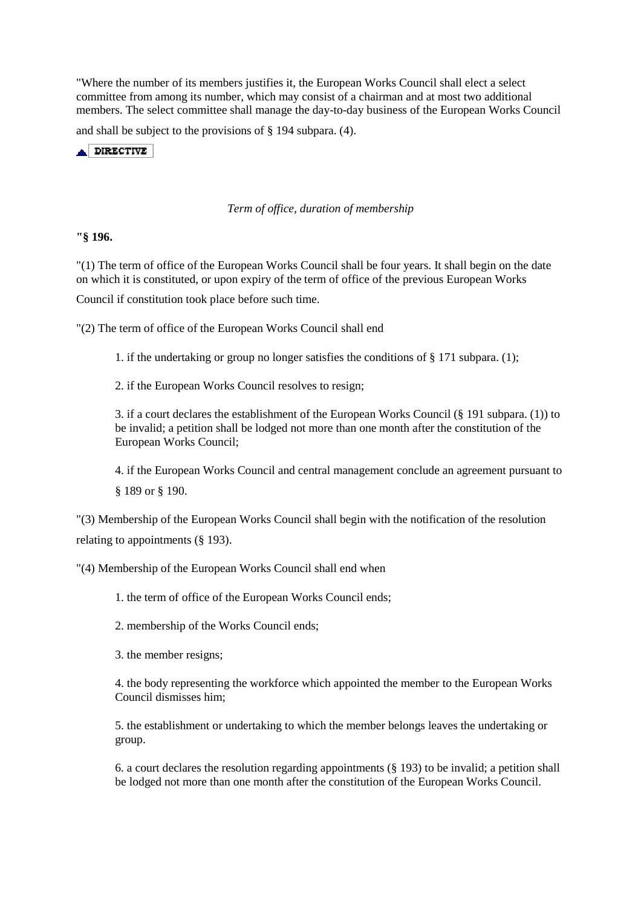"Where the number of its members justifies it, the European Works Council shall elect a select committee from among its number, which may consist of a chairman and at most two additional members. The select committee shall manage the day-to-day business of the European Works Council

and shall be subject to the provisions of § 194 subpara. (4).

 $\triangle$  DIRECTIVE

### *Term of office, duration of membership*

**"§ 196.** 

"(1) The term of office of the European Works Council shall be four years. It shall begin on the date on which it is constituted, or upon expiry of the term of office of the previous European Works

Council if constitution took place before such time.

"(2) The term of office of the European Works Council shall end

1. if the undertaking or group no longer satisfies the conditions of § 171 subpara. (1);

2. if the European Works Council resolves to resign;

3. if a court declares the establishment of the European Works Council (§ 191 subpara. (1)) to be invalid; a petition shall be lodged not more than one month after the constitution of the European Works Council;

4. if the European Works Council and central management conclude an agreement pursuant to § 189 or § 190.

"(3) Membership of the European Works Council shall begin with the notification of the resolution relating to appointments (§ 193).

"(4) Membership of the European Works Council shall end when

1. the term of office of the European Works Council ends;

2. membership of the Works Council ends;

3. the member resigns;

4. the body representing the workforce which appointed the member to the European Works Council dismisses him;

5. the establishment or undertaking to which the member belongs leaves the undertaking or group.

6. a court declares the resolution regarding appointments (§ 193) to be invalid; a petition shall be lodged not more than one month after the constitution of the European Works Council.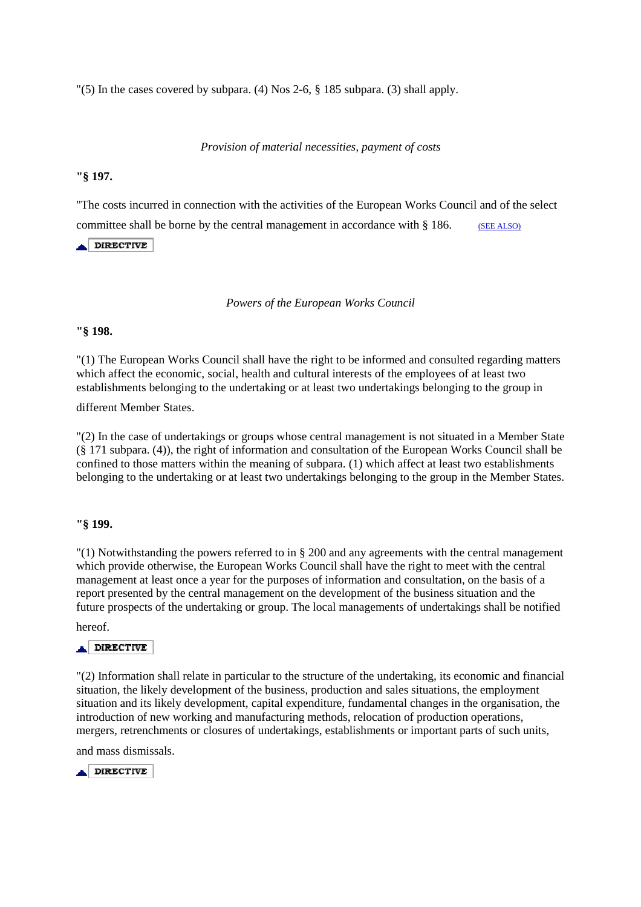"(5) In the cases covered by subpara. (4) Nos 2-6,  $\S$  185 subpara. (3) shall apply.

*Provision of material necessities, payment of costs*

## **"§ 197.**

"The costs incurred in connection with the activities of the European Works Council and of the select committee shall be borne by the central management in accordance with § 186. (SEE ALSO)

**ADIRECTIVE** 

*Powers of the European Works Council* 

### **"§ 198.**

"(1) The European Works Council shall have the right to be informed and consulted regarding matters which affect the economic, social, health and cultural interests of the employees of at least two establishments belonging to the undertaking or at least two undertakings belonging to the group in

different Member States.

"(2) In the case of undertakings or groups whose central management is not situated in a Member State (§ 171 subpara. (4)), the right of information and consultation of the European Works Council shall be confined to those matters within the meaning of subpara. (1) which affect at least two establishments belonging to the undertaking or at least two undertakings belonging to the group in the Member States.

### **"§ 199.**

"(1) Notwithstanding the powers referred to in § 200 and any agreements with the central management which provide otherwise, the European Works Council shall have the right to meet with the central management at least once a year for the purposes of information and consultation, on the basis of a report presented by the central management on the development of the business situation and the future prospects of the undertaking or group. The local managements of undertakings shall be notified

hereof.

# **A DIRECTIVE**

"(2) Information shall relate in particular to the structure of the undertaking, its economic and financial situation, the likely development of the business, production and sales situations, the employment situation and its likely development, capital expenditure, fundamental changes in the organisation, the introduction of new working and manufacturing methods, relocation of production operations, mergers, retrenchments or closures of undertakings, establishments or important parts of such units,

and mass dismissals.

 $\triangle$  DIRECTIVE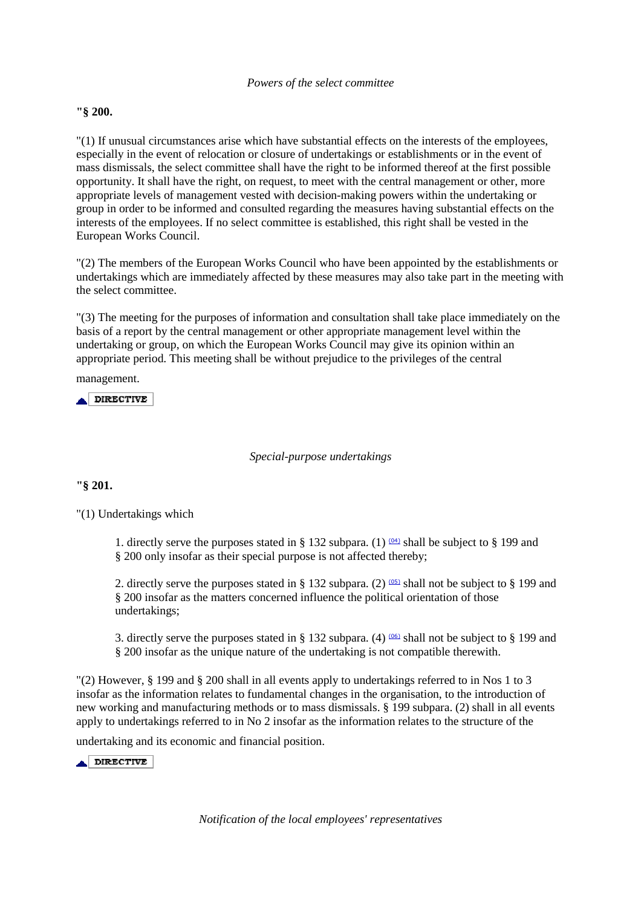### *Powers of the select committee*

## **"§ 200.**

"(1) If unusual circumstances arise which have substantial effects on the interests of the employees, especially in the event of relocation or closure of undertakings or establishments or in the event of mass dismissals, the select committee shall have the right to be informed thereof at the first possible opportunity. It shall have the right, on request, to meet with the central management or other, more appropriate levels of management vested with decision-making powers within the undertaking or group in order to be informed and consulted regarding the measures having substantial effects on the interests of the employees. If no select committee is established, this right shall be vested in the European Works Council.

"(2) The members of the European Works Council who have been appointed by the establishments or undertakings which are immediately affected by these measures may also take part in the meeting with the select committee.

"(3) The meeting for the purposes of information and consultation shall take place immediately on the basis of a report by the central management or other appropriate management level within the undertaking or group, on which the European Works Council may give its opinion within an appropriate period. This meeting shall be without prejudice to the privileges of the central

management.

 $\blacktriangle$  DIRECTIVE

### *Special-purpose undertakings*

### **"§ 201.**

"(1) Undertakings which

1. directly serve the purposes stated in § 132 subpara. (1)  $(04)$  shall be subject to § 199 and § 200 only insofar as their special purpose is not affected thereby;

2. directly serve the purposes stated in § 132 subpara. (2)  $(0.5)$  shall not be subject to § 199 and § 200 insofar as the matters concerned influence the political orientation of those undertakings;

3. directly serve the purposes stated in § 132 subpara. (4)  $(06)$  shall not be subject to § 199 and § 200 insofar as the unique nature of the undertaking is not compatible therewith.

"(2) However, § 199 and § 200 shall in all events apply to undertakings referred to in Nos 1 to 3 insofar as the information relates to fundamental changes in the organisation, to the introduction of new working and manufacturing methods or to mass dismissals. § 199 subpara. (2) shall in all events apply to undertakings referred to in No 2 insofar as the information relates to the structure of the

undertaking and its economic and financial position.

DIRECTIVE

*Notification of the local employees' representatives*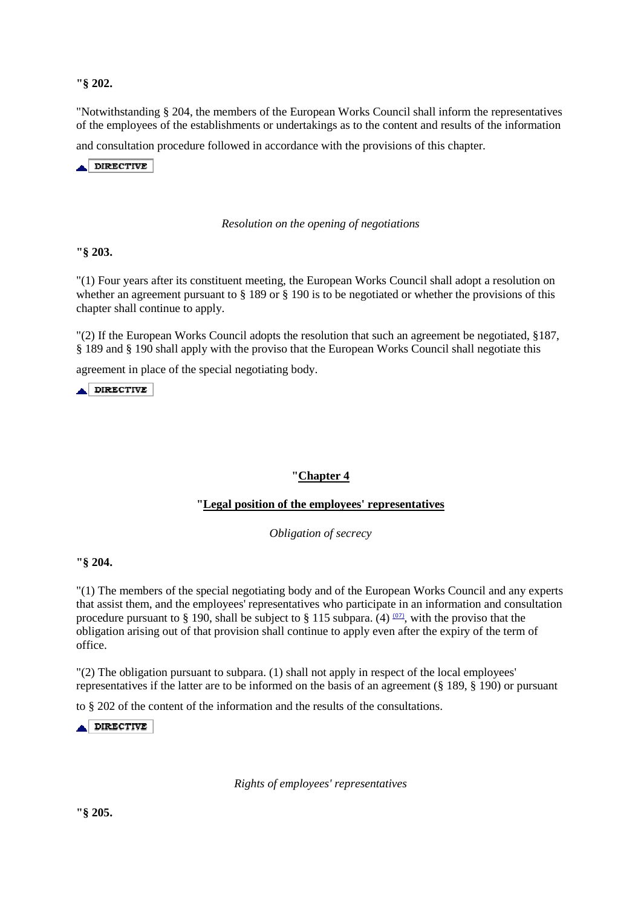**"§ 202.** 

"Notwithstanding § 204, the members of the European Works Council shall inform the representatives of the employees of the establishments or undertakings as to the content and results of the information

and consultation procedure followed in accordance with the provisions of this chapter.

DIRECTIVE

#### *Resolution on the opening of negotiations*

**"§ 203.** 

"(1) Four years after its constituent meeting, the European Works Council shall adopt a resolution on whether an agreement pursuant to § 189 or § 190 is to be negotiated or whether the provisions of this chapter shall continue to apply.

"(2) If the European Works Council adopts the resolution that such an agreement be negotiated, §187, § 189 and § 190 shall apply with the proviso that the European Works Council shall negotiate this

agreement in place of the special negotiating body.

 $\triangle$  DIRECTIVE

### **"Chapter 4**

### **"Legal position of the employees' representatives**

*Obligation of secrecy* 

#### **"§ 204.**

"(1) The members of the special negotiating body and of the European Works Council and any experts that assist them, and the employees' representatives who participate in an information and consultation procedure pursuant to § 190, shall be subject to § 115 subpara. (4)  $(0, 0)$ , with the proviso that the obligation arising out of that provision shall continue to apply even after the expiry of the term of office.

"(2) The obligation pursuant to subpara. (1) shall not apply in respect of the local employees' representatives if the latter are to be informed on the basis of an agreement (§ 189, § 190) or pursuant

to § 202 of the content of the information and the results of the consultations.

 $\triangle$  DIRECTIVE

*Rights of employees' representatives* 

**"§ 205.**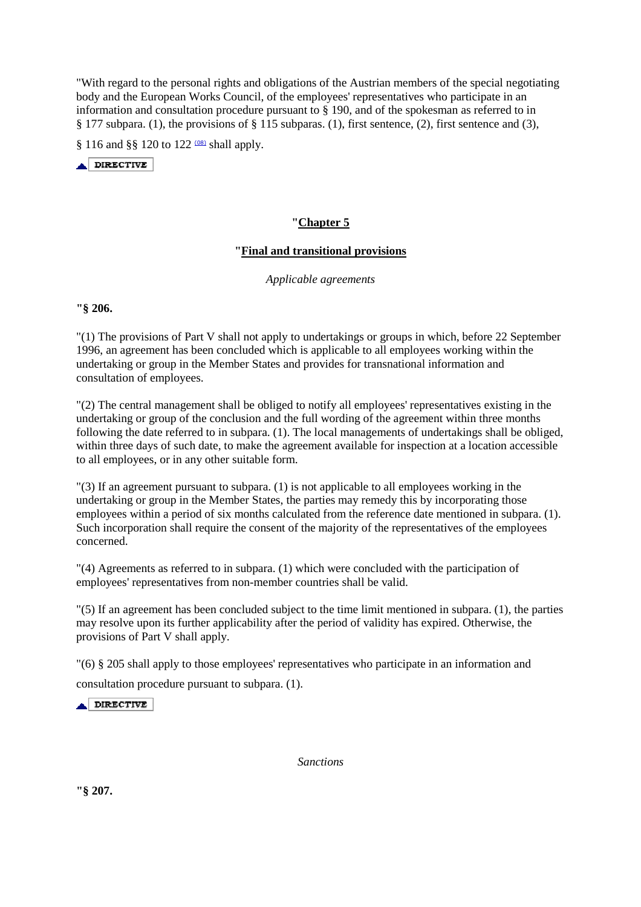"With regard to the personal rights and obligations of the Austrian members of the special negotiating body and the European Works Council, of the employees' representatives who participate in an information and consultation procedure pursuant to § 190, and of the spokesman as referred to in § 177 subpara. (1), the provisions of § 115 subparas. (1), first sentence, (2), first sentence and (3),

§ 116 and §§ 120 to 122 <sup>(08)</sup> shall apply.

 $\triangle$ DIRECTIVE

## **"Chapter 5**

## **"Final and transitional provisions**

*Applicable agreements* 

**"§ 206.** 

"(1) The provisions of Part V shall not apply to undertakings or groups in which, before 22 September 1996, an agreement has been concluded which is applicable to all employees working within the undertaking or group in the Member States and provides for transnational information and consultation of employees.

"(2) The central management shall be obliged to notify all employees' representatives existing in the undertaking or group of the conclusion and the full wording of the agreement within three months following the date referred to in subpara. (1). The local managements of undertakings shall be obliged, within three days of such date, to make the agreement available for inspection at a location accessible to all employees, or in any other suitable form.

"(3) If an agreement pursuant to subpara. (1) is not applicable to all employees working in the undertaking or group in the Member States, the parties may remedy this by incorporating those employees within a period of six months calculated from the reference date mentioned in subpara. (1). Such incorporation shall require the consent of the majority of the representatives of the employees concerned.

"(4) Agreements as referred to in subpara. (1) which were concluded with the participation of employees' representatives from non-member countries shall be valid.

"(5) If an agreement has been concluded subject to the time limit mentioned in subpara. (1), the parties may resolve upon its further applicability after the period of validity has expired. Otherwise, the provisions of Part V shall apply.

"(6) § 205 shall apply to those employees' representatives who participate in an information and

consultation procedure pursuant to subpara. (1).

 $\triangle$  DIRECTIVE

*Sanctions* 

**"§ 207.**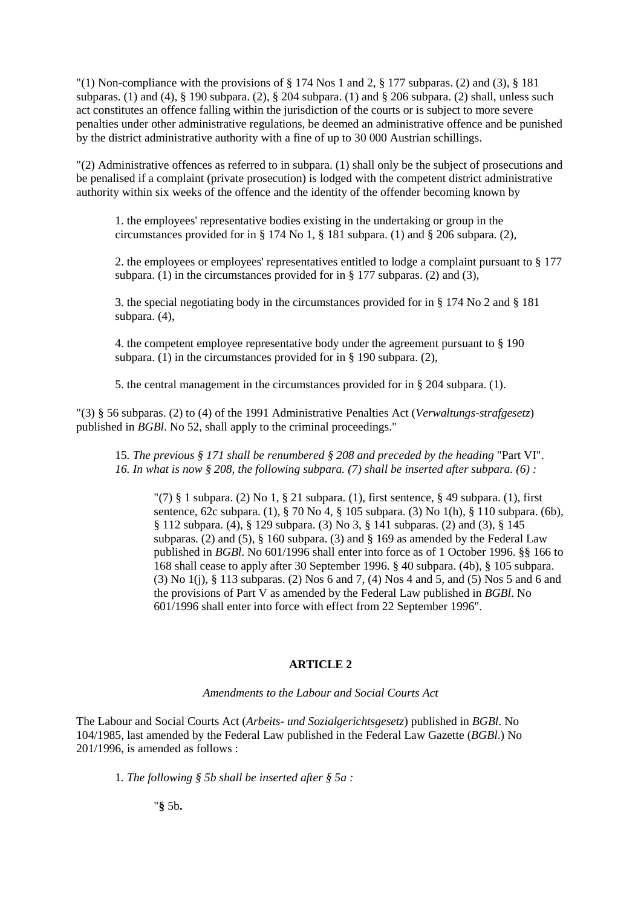"(1) Non-compliance with the provisions of  $\S 174$  Nos 1 and 2,  $\S 177$  subparas. (2) and (3),  $\S 181$ subparas. (1) and (4),  $\S$  190 subpara. (2),  $\S$  204 subpara. (1) and  $\S$  206 subpara. (2) shall, unless such act constitutes an offence falling within the jurisdiction of the courts or is subject to more severe penalties under other administrative regulations, be deemed an administrative offence and be punished by the district administrative authority with a fine of up to 30 000 Austrian schillings.

"(2) Administrative offences as referred to in subpara. (1) shall only be the subject of prosecutions and be penalised if a complaint (private prosecution) is lodged with the competent district administrative authority within six weeks of the offence and the identity of the offender becoming known by

1. the employees' representative bodies existing in the undertaking or group in the circumstances provided for in § 174 No 1, § 181 subpara. (1) and § 206 subpara. (2),

2. the employees or employees' representatives entitled to lodge a complaint pursuant to § 177 subpara. (1) in the circumstances provided for in § 177 subparas. (2) and (3),

3. the special negotiating body in the circumstances provided for in § 174 No 2 and § 181 subpara. (4),

4. the competent employee representative body under the agreement pursuant to § 190 subpara. (1) in the circumstances provided for in § 190 subpara. (2),

5. the central management in the circumstances provided for in § 204 subpara. (1).

"(3) § 56 subparas. (2) to (4) of the 1991 Administrative Penalties Act (*Verwaltungs-strafgesetz*) published in *BGBl*. No 52, shall apply to the criminal proceedings."

15*. The previous § 171 shall be renumbered § 208 and preceded by the heading* "Part VI". *16. In what is now § 208, the following subpara. (7) shall be inserted after subpara. (6) :* 

"(7)  $§$  1 subpara. (2) No 1,  $§$  21 subpara. (1), first sentence,  $§$  49 subpara. (1), first sentence, 62c subpara. (1), § 70 No 4, § 105 subpara. (3) No 1(h), § 110 subpara. (6b),  $§ 112$  subpara. (4), § 129 subpara. (3) No 3, § 141 subparas. (2) and (3), § 145 subparas. (2) and (5),  $\S$  160 subpara. (3) and  $\S$  169 as amended by the Federal Law published in *BGBl*. No 601/1996 shall enter into force as of 1 October 1996. §§ 166 to 168 shall cease to apply after 30 September 1996. § 40 subpara. (4b), § 105 subpara. (3) No 1(j), § 113 subparas. (2) Nos 6 and 7, (4) Nos 4 and 5, and (5) Nos 5 and 6 and the provisions of Part V as amended by the Federal Law published in *BGBl*. No 601/1996 shall enter into force with effect from 22 September 1996".

# **ARTICLE 2**

### *Amendments to the Labour and Social Courts Act*

The Labour and Social Courts Act (*Arbeits- und Sozialgerichtsgesetz*) published in *BGBl*. No 104/1985, last amended by the Federal Law published in the Federal Law Gazette (*BGBl*.) No 201/1996, is amended as follows :

1*. The following § 5b shall be inserted after § 5a :*

"**§** 5b**.**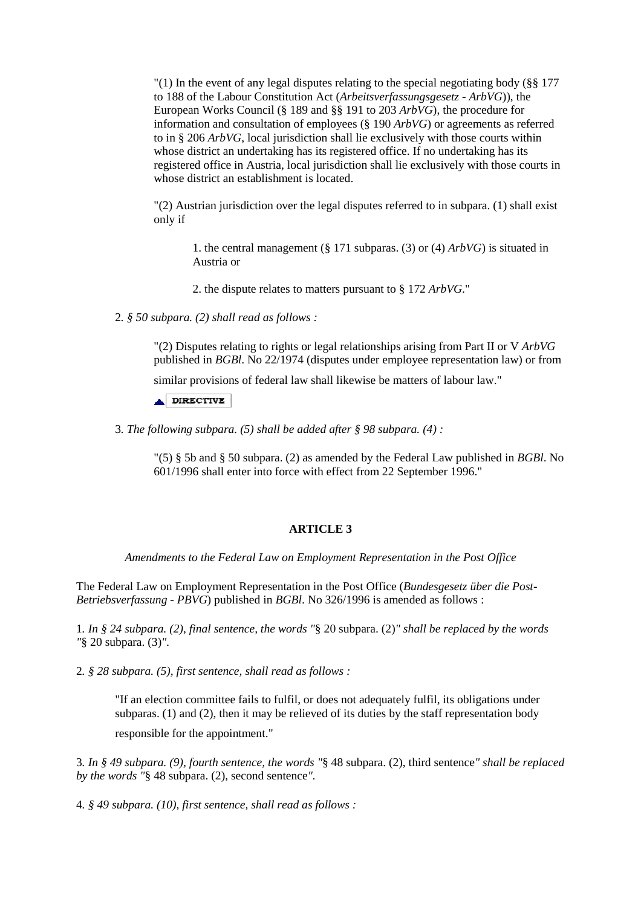"(1) In the event of any legal disputes relating to the special negotiating body (§§ 177 to 188 of the Labour Constitution Act (*Arbeitsverfassungsgesetz - ArbVG*)), the European Works Council (§ 189 and §§ 191 to 203 *ArbVG*), the procedure for information and consultation of employees (§ 190 *ArbVG*) or agreements as referred to in § 206 *ArbVG*, local jurisdiction shall lie exclusively with those courts within whose district an undertaking has its registered office. If no undertaking has its registered office in Austria, local jurisdiction shall lie exclusively with those courts in whose district an establishment is located.

"(2) Austrian jurisdiction over the legal disputes referred to in subpara. (1) shall exist only if

1. the central management (§ 171 subparas. (3) or (4) *ArbVG*) is situated in Austria or

2. the dispute relates to matters pursuant to § 172 *ArbVG*."

2*. § 50 subpara. (2) shall read as follows :* 

"(2) Disputes relating to rights or legal relationships arising from Part II or V *ArbVG* published in *BGBl*. No 22/1974 (disputes under employee representation law) or from

similar provisions of federal law shall likewise be matters of labour law."

 $\triangle$  DIRECTIVE

3*. The following subpara. (5) shall be added after § 98 subpara. (4) :* 

"(5) § 5b and § 50 subpara. (2) as amended by the Federal Law published in *BGBl*. No 601/1996 shall enter into force with effect from 22 September 1996."

### **ARTICLE 3**

*Amendments to the Federal Law on Employment Representation in the Post Office* 

The Federal Law on Employment Representation in the Post Office (*Bundesgesetz über die Post-Betriebsverfassung - PBVG*) published in *BGBl*. No 326/1996 is amended as follows :

1*. In § 24 subpara. (2), final sentence, the words "*§ 20 subpara. (2)*" shall be replaced by the words "*§ 20 subpara. (3)*".* 

2*. § 28 subpara. (5), first sentence, shall read as follows :* 

"If an election committee fails to fulfil, or does not adequately fulfil, its obligations under subparas. (1) and (2), then it may be relieved of its duties by the staff representation body

responsible for the appointment."

3*. In § 49 subpara. (9), fourth sentence, the words "*§ 48 subpara. (2), third sentence*" shall be replaced by the words "*§ 48 subpara. (2), second sentence*".* 

4*. § 49 subpara. (10), first sentence, shall read as follows :*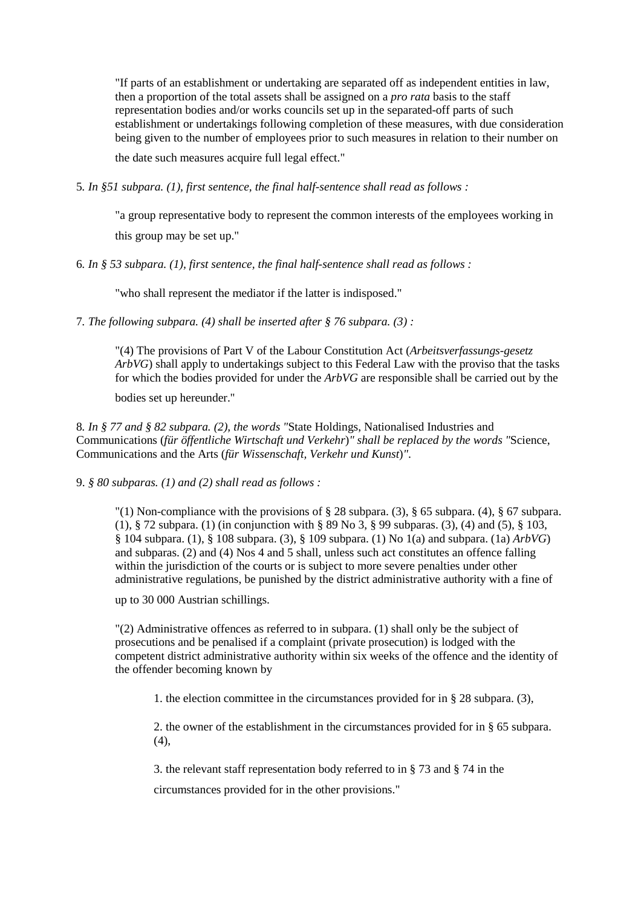"If parts of an establishment or undertaking are separated off as independent entities in law, then a proportion of the total assets shall be assigned on a *pro rata* basis to the staff representation bodies and/or works councils set up in the separated-off parts of such establishment or undertakings following completion of these measures, with due consideration being given to the number of employees prior to such measures in relation to their number on

the date such measures acquire full legal effect."

5*. In §51 subpara. (1), first sentence, the final half-sentence shall read as follows :* 

"a group representative body to represent the common interests of the employees working in this group may be set up."

6*. In § 53 subpara. (1), first sentence, the final half-sentence shall read as follows :* 

"who shall represent the mediator if the latter is indisposed."

7*. The following subpara. (4) shall be inserted after § 76 subpara. (3) :* 

"(4) The provisions of Part V of the Labour Constitution Act (*Arbeitsverfassungs-gesetz ArbVG*) shall apply to undertakings subject to this Federal Law with the proviso that the tasks for which the bodies provided for under the *ArbVG* are responsible shall be carried out by the

bodies set up hereunder."

8*. In § 77 and § 82 subpara. (2), the words "*State Holdings, Nationalised Industries and Communications (*für öffentliche Wirtschaft und Verkehr*)*" shall be replaced by the words "*Science, Communications and the Arts (*für Wissenschaft, Verkehr und Kunst*)*"*.

9. *§ 80 subparas. (1) and (2) shall read as follows :* 

"(1) Non-compliance with the provisions of  $\S 28$  subpara. (3),  $\S 65$  subpara. (4),  $\S 67$  subpara. (1), § 72 subpara. (1) (in conjunction with § 89 No 3, § 99 subparas. (3), (4) and (5), § 103, § 104 subpara. (1), § 108 subpara. (3), § 109 subpara. (1) No 1(a) and subpara. (1a) *ArbVG*) and subparas. (2) and (4) Nos 4 and 5 shall, unless such act constitutes an offence falling within the jurisdiction of the courts or is subject to more severe penalties under other administrative regulations, be punished by the district administrative authority with a fine of

up to 30 000 Austrian schillings.

"(2) Administrative offences as referred to in subpara. (1) shall only be the subject of prosecutions and be penalised if a complaint (private prosecution) is lodged with the competent district administrative authority within six weeks of the offence and the identity of the offender becoming known by

1. the election committee in the circumstances provided for in § 28 subpara. (3),

2. the owner of the establishment in the circumstances provided for in § 65 subpara.  $(4)$ ,

3. the relevant staff representation body referred to in § 73 and § 74 in the

circumstances provided for in the other provisions."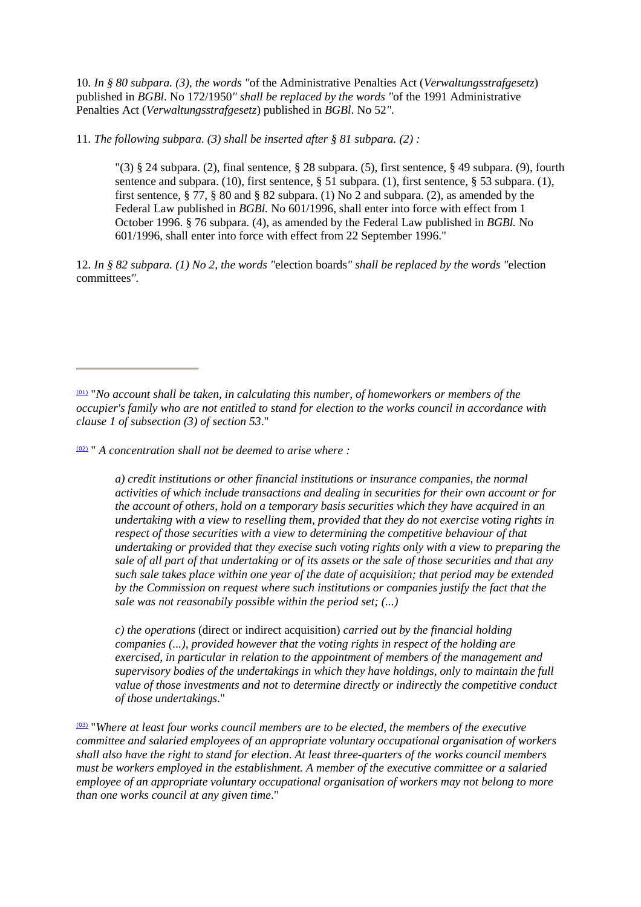10*. In § 80 subpara. (3), the words "*of the Administrative Penalties Act (*Verwaltungsstrafgesetz*) published in *BGBl*. No 172/1950*" shall be replaced by the words "*of the 1991 Administrative Penalties Act (*Verwaltungsstrafgesetz*) published in *BGBl*. No 52*".* 

11*. The following subpara. (3) shall be inserted after § 81 subpara. (2) :* 

 $\binom{13}{3}$  § 24 subpara. (2), final sentence, § 28 subpara. (5), first sentence, § 49 subpara. (9), fourth sentence and subpara. (10), first sentence, § 51 subpara. (1), first sentence, § 53 subpara. (1), first sentence,  $\S 77$ ,  $\S 80$  and  $\S 82$  subpara. (1) No 2 and subpara. (2), as amended by the Federal Law published in *BGBl.* No 601/1996, shall enter into force with effect from 1 October 1996. § 76 subpara. (4), as amended by the Federal Law published in *BGBl.* No 601/1996, shall enter into force with effect from 22 September 1996."

12*. In § 82 subpara. (1) No 2, the words "*election boards*" shall be replaced by the words "*election committees*".* 

(02) " *A concentration shall not be deemed to arise where :* 

*a) credit institutions or other financial institutions or insurance companies, the normal activities of which include transactions and dealing in securities for their own account or for the account of others, hold on a temporary basis securities which they have acquired in an undertaking with a view to reselling them, provided that they do not exercise voting rights in respect of those securities with a view to determining the competitive behaviour of that undertaking or provided that they execise such voting rights only with a view to preparing the sale of all part of that undertaking or of its assets or the sale of those securities and that any such sale takes place within one year of the date of acquisition; that period may be extended by the Commission on request where such institutions or companies justify the fact that the sale was not reasonabily possible within the period set; (...)* 

*c) the operations* (direct or indirect acquisition) *carried out by the financial holding companies (...), provided however that the voting rights in respect of the holding are exercised, in particular in relation to the appointment of members of the management and supervisory bodies of the undertakings in which they have holdings, only to maintain the full value of those investments and not to determine directly or indirectly the competitive conduct of those undertakings*."

(03) "*Where at least four works council members are to be elected, the members of the executive committee and salaried employees of an appropriate voluntary occupational organisation of workers shall also have the right to stand for election. At least three-quarters of the works council members must be workers employed in the establishment. A member of the executive committee or a salaried employee of an appropriate voluntary occupational organisation of workers may not belong to more than one works council at any given time*."

<sup>(01)</sup> "*No account shall be taken, in calculating this number, of homeworkers or members of the occupier's family who are not entitled to stand for election to the works council in accordance with clause 1 of subsection (3) of section 53*."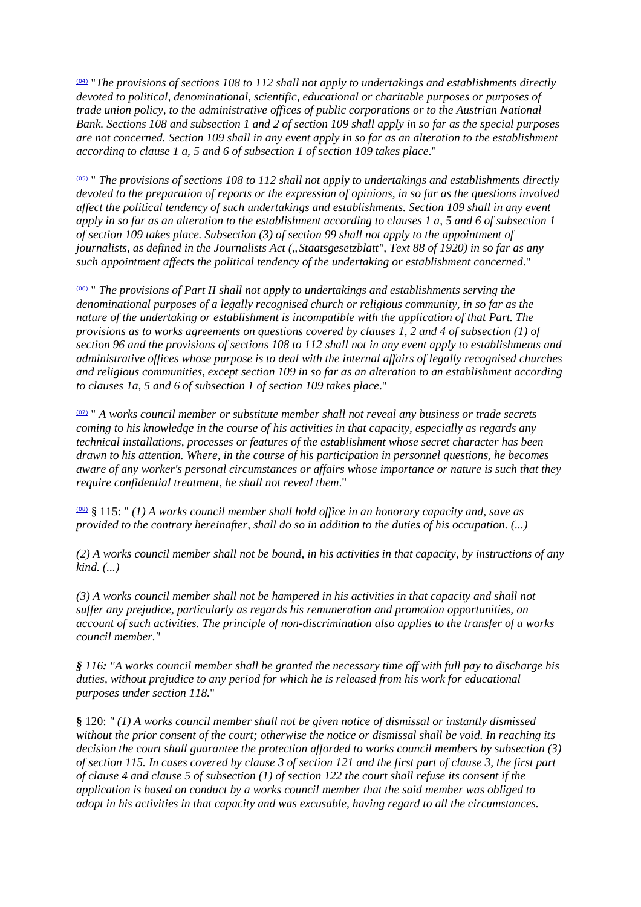(04) "*The provisions of sections 108 to 112 shall not apply to undertakings and establishments directly devoted to political, denominational, scientific, educational or charitable purposes or purposes of trade union policy, to the administrative offices of public corporations or to the Austrian National Bank. Sections 108 and subsection 1 and 2 of section 109 shall apply in so far as the special purposes are not concerned. Section 109 shall in any event apply in so far as an alteration to the establishment according to clause 1 a, 5 and 6 of subsection 1 of section 109 takes place*."

(05) " *The provisions of sections 108 to 112 shall not apply to undertakings and establishments directly devoted to the preparation of reports or the expression of opinions, in so far as the questions involved affect the political tendency of such undertakings and establishments. Section 109 shall in any event apply in so far as an alteration to the establishment according to clauses 1 a, 5 and 6 of subsection 1 of section 109 takes place. Subsection (3) of section 99 shall not apply to the appointment of journalists, as defined in the Journalists Act ("Staatsgesetzblatt", Text 88 of 1920) in so far as any such appointment affects the political tendency of the undertaking or establishment concerned*."

(06) " *The provisions of Part II shall not apply to undertakings and establishments serving the denominational purposes of a legally recognised church or religious community, in so far as the nature of the undertaking or establishment is incompatible with the application of that Part. The provisions as to works agreements on questions covered by clauses 1, 2 and 4 of subsection (1) of section 96 and the provisions of sections 108 to 112 shall not in any event apply to establishments and administrative offices whose purpose is to deal with the internal affairs of legally recognised churches and religious communities, except section 109 in so far as an alteration to an establishment according to clauses 1a, 5 and 6 of subsection 1 of section 109 takes place*."

(07) " *A works council member or substitute member shall not reveal any business or trade secrets coming to his knowledge in the course of his activities in that capacity, especially as regards any technical installations, processes or features of the establishment whose secret character has been drawn to his attention. Where, in the course of his participation in personnel questions, he becomes aware of any worker's personal circumstances or affairs whose importance or nature is such that they require confidential treatment, he shall not reveal them*."

(08) § 115: " *(1) A works council member shall hold office in an honorary capacity and, save as provided to the contrary hereinafter, shall do so in addition to the duties of his occupation. (...)* 

*(2) A works council member shall not be bound, in his activities in that capacity, by instructions of any kind. (...)* 

*(3) A works council member shall not be hampered in his activities in that capacity and shall not suffer any prejudice, particularly as regards his remuneration and promotion opportunities, on account of such activities. The principle of non-discrimination also applies to the transfer of a works council member."* 

*§ 116: "A works council member shall be granted the necessary time off with full pay to discharge his duties, without prejudice to any period for which he is released from his work for educational purposes under section 118.*"

**§** 120: *" (1) A works council member shall not be given notice of dismissal or instantly dismissed without the prior consent of the court; otherwise the notice or dismissal shall be void. In reaching its decision the court shall guarantee the protection afforded to works council members by subsection (3) of section 115. In cases covered by clause 3 of section 121 and the first part of clause 3, the first part of clause 4 and clause 5 of subsection (1) of section 122 the court shall refuse its consent if the application is based on conduct by a works council member that the said member was obliged to adopt in his activities in that capacity and was excusable, having regard to all the circumstances.*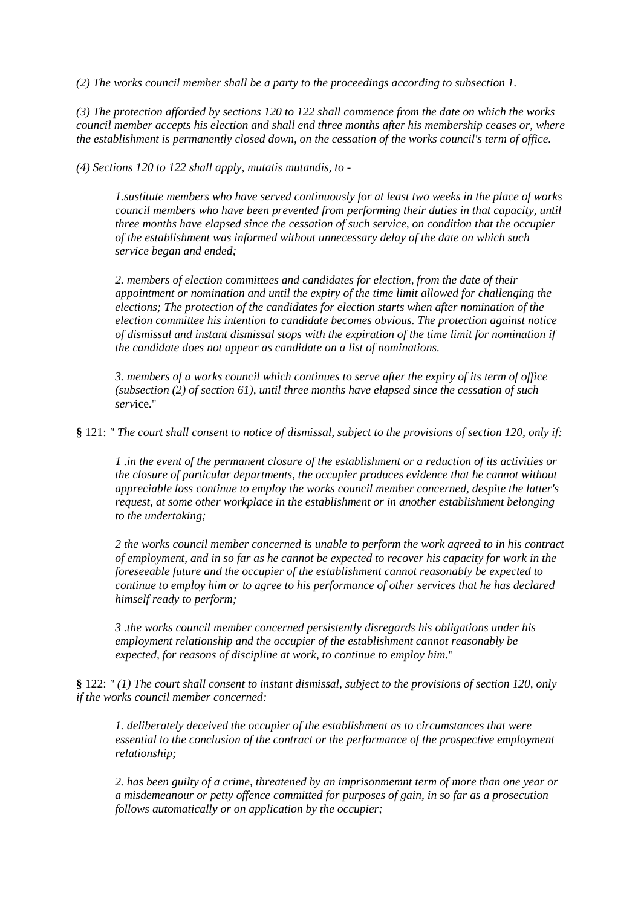*(2) The works council member shall be a party to the proceedings according to subsection 1.* 

*(3) The protection afforded by sections 120 to 122 shall commence from the date on which the works council member accepts his election and shall end three months after his membership ceases or, where the establishment is permanently closed down, on the cessation of the works council's term of office.* 

*(4) Sections 120 to 122 shall apply, mutatis mutandis, to -* 

*1.sustitute members who have served continuously for at least two weeks in the place of works council members who have been prevented from performing their duties in that capacity, until three months have elapsed since the cessation of such service, on condition that the occupier of the establishment was informed without unnecessary delay of the date on which such service began and ended;* 

*2. members of election committees and candidates for election, from the date of their appointment or nomination and until the expiry of the time limit allowed for challenging the elections; The protection of the candidates for election starts when after nomination of the election committee his intention to candidate becomes obvious. The protection against notice of dismissal and instant dismissal stops with the expiration of the time limit for nomination if the candidate does not appear as candidate on a list of nominations.* 

*3. members of a works council which continues to serve after the expiry of its term of office (subsection (2) of section 61), until three months have elapsed since the cessation of such serv*ice."

**§** 121: *" The court shall consent to notice of dismissal, subject to the provisions of section 120, only if:* 

*1 .in the event of the permanent closure of the establishment or a reduction of its activities or the closure of particular departments, the occupier produces evidence that he cannot without appreciable loss continue to employ the works council member concerned, despite the latter's request, at some other workplace in the establishment or in another establishment belonging to the undertaking;* 

*2 the works council member concerned is unable to perform the work agreed to in his contract of employment, and in so far as he cannot be expected to recover his capacity for work in the foreseeable future and the occupier of the establishment cannot reasonably be expected to continue to employ him or to agree to his performance of other services that he has declared himself ready to perform;* 

*3 .the works council member concerned persistently disregards his obligations under his employment relationship and the occupier of the establishment cannot reasonably be expected, for reasons of discipline at work, to continue to employ him*."

**§** 122: *" (1) The court shall consent to instant dismissal, subject to the provisions of section 120, only if the works council member concerned:* 

*1. deliberately deceived the occupier of the establishment as to circumstances that were essential to the conclusion of the contract or the performance of the prospective employment relationship;* 

*2. has been guilty of a crime, threatened by an imprisonmemnt term of more than one year or a misdemeanour or petty offence committed for purposes of gain, in so far as a prosecution follows automatically or on application by the occupier;*